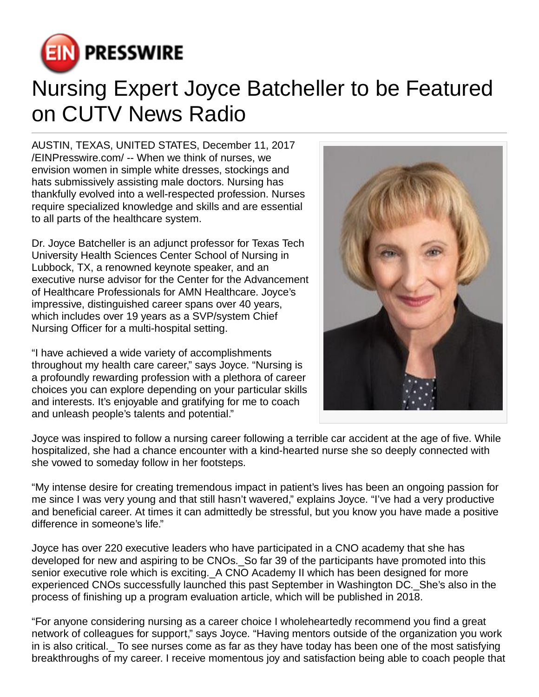

## Nursing Expert Joyce Batcheller to be Featured on CUTV News Radio

AUSTIN, TEXAS, UNITED STATES, December 11, 2017 [/EINPresswire.com](http://www.einpresswire.com)/ -- When we think of nurses, we envision women in simple white dresses, stockings and hats submissively assisting male doctors. Nursing has thankfully evolved into a well-respected profession. Nurses require specialized knowledge and skills and are essential to all parts of the healthcare system.

Dr. Joyce Batcheller is an adjunct professor for Texas Tech University Health Sciences Center School of Nursing in Lubbock, TX, a renowned keynote speaker, and an executive nurse advisor for the Center for the Advancement of Healthcare Professionals for AMN Healthcare. Joyce's impressive, distinguished career spans over 40 years, which includes over 19 years as a SVP/system Chief Nursing Officer for a multi-hospital setting.

"I have achieved a wide variety of accomplishments throughout my health care career," says Joyce. "Nursing is a profoundly rewarding profession with a plethora of career choices you can explore depending on your particular skills and interests. It's enjoyable and gratifying for me to coach and unleash people's talents and potential."



Joyce was inspired to follow a nursing career following a terrible car accident at the age of five. While hospitalized, she had a chance encounter with a kind-hearted nurse she so deeply connected with she vowed to someday follow in her footsteps.

"My intense desire for creating tremendous impact in patient's lives has been an ongoing passion for me since I was very young and that still hasn't wavered," explains Joyce. "I've had a very productive and beneficial career. At times it can admittedly be stressful, but you know you have made a positive difference in someone's life."

Joyce has over 220 executive leaders who have participated in a CNO academy that she has developed for new and aspiring to be CNOs.\_So far 39 of the participants have promoted into this senior executive role which is exciting. A CNO Academy II which has been designed for more experienced CNOs successfully launched this past September in Washington DC.\_She's also in the process of finishing up a program evaluation article, which will be published in 2018.

"For anyone considering nursing as a career choice I wholeheartedly recommend you find a great network of colleagues for support," says Joyce. "Having mentors outside of the organization you work in is also critical.\_ To see nurses come as far as they have today has been one of the most satisfying breakthroughs of my career. I receive momentous joy and satisfaction being able to coach people that